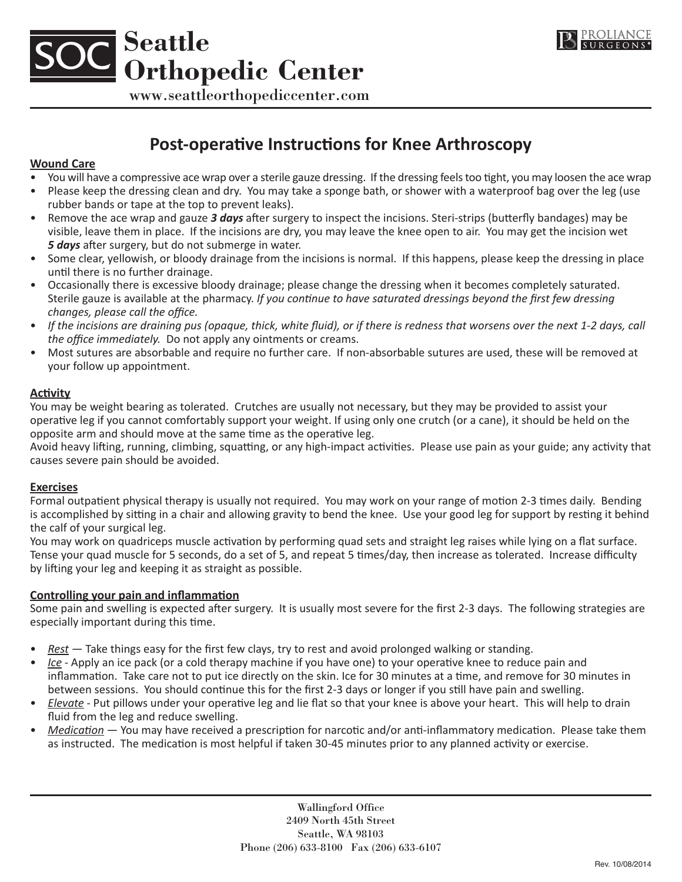



www.seattleorthopediccenter.com

# **Post-operative Instructions for Knee Arthroscopy**

# **Wound Care**

- You will have a compressive ace wrap over a sterile gauze dressing. If the dressing feels too tight, you may loosen the ace wrap • Please keep the dressing clean and dry. You may take a sponge bath, or shower with a waterproof bag over the leg (use rubber bands or tape at the top to prevent leaks).
- Remove the ace wrap and gauze *3 days* after surgery to inspect the incisions. Steri-strips (butterfly bandages) may be visible, leave them in place. If the incisions are dry, you may leave the knee open to air. You may get the incision wet *5 days* after surgery, but do not submerge in water.
- Some clear, yellowish, or bloody drainage from the incisions is normal. If this happens, please keep the dressing in place until there is no further drainage.
- • Occasionally there is excessive bloody drainage; please change the dressing when it becomes completely saturated. Sterile gauze is available at the pharmacy. *If you continue to have saturated dressings beyond the first few dressing changes, please call the office.*
- If the incisions are draining pus (opaque, thick, white fluid), or if there is redness that worsens over the next 1-2 days, call *the office immediately.* Do not apply any ointments or creams.
- • Most sutures are absorbable and require no further care. If non-absorbable sutures are used, these will be removed at your follow up appointment.

# **Activity**

You may be weight bearing as tolerated. Crutches are usually not necessary, but they may be provided to assist your operative leg if you cannot comfortably support your weight. If using only one crutch (or a cane), it should be held on the opposite arm and should move at the same time as the operative leg.

Avoid heavy lifting, running, climbing, squatting, or any high-impact activities. Please use pain as your guide; any activity that causes severe pain should be avoided.

# **Exercises**

Formal outpatient physical therapy is usually not required. You may work on your range of motion 2-3 times daily. Bending is accomplished by sitting in a chair and allowing gravity to bend the knee. Use your good leg for support by resting it behind the calf of your surgical leg.

You may work on quadriceps muscle activation by performing quad sets and straight leg raises while lying on a flat surface. Tense your quad muscle for 5 seconds, do a set of 5, and repeat 5 times/day, then increase as tolerated. Increase difficulty by lifting your leg and keeping it as straight as possible.

# **Controlling your pain and inflammation**

Some pain and swelling is expected after surgery. It is usually most severe for the first 2-3 days. The following strategies are especially important during this time.

- *Rest* Take things easy for the first few clays, try to rest and avoid prolonged walking or standing.
- *Ice* Apply an ice pack (or a cold therapy machine if you have one) to your operative knee to reduce pain and inflammation. Take care not to put ice directly on the skin. Ice for 30 minutes at a time, and remove for 30 minutes in between sessions. You should continue this for the first 2-3 days or longer if you still have pain and swelling.
- *Elevate* Put pillows under your operative leg and lie flat so that your knee is above your heart. This will help to drain fluid from the leg and reduce swelling.
- *Medication* You may have received a prescription for narcotic and/or anti-inflammatory medication. Please take them as instructed. The medication is most helpful if taken 30-45 minutes prior to any planned activity or exercise.